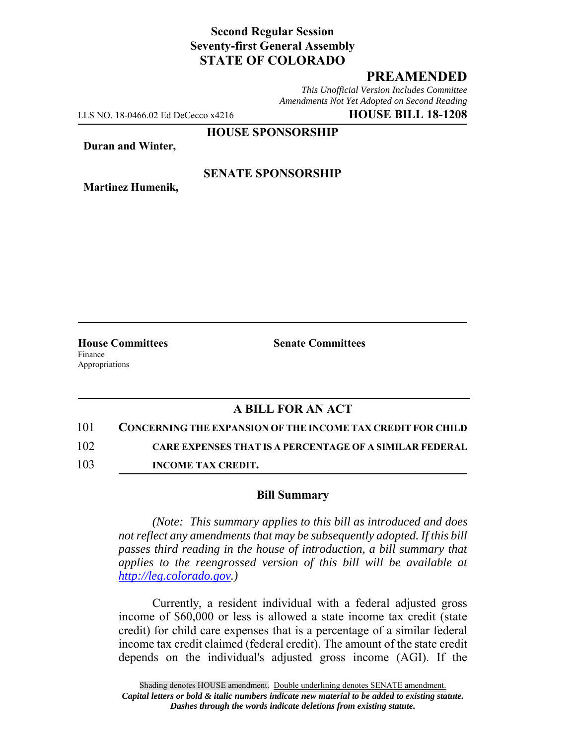# **Second Regular Session Seventy-first General Assembly STATE OF COLORADO**

# **PREAMENDED**

*This Unofficial Version Includes Committee Amendments Not Yet Adopted on Second Reading*

LLS NO. 18-0466.02 Ed DeCecco x4216 **HOUSE BILL 18-1208**

**HOUSE SPONSORSHIP**

**Duran and Winter,**

**Martinez Humenik,**

**SENATE SPONSORSHIP**

**House Committees Senate Committees** Finance Appropriations

### **A BILL FOR AN ACT**

101 **CONCERNING THE EXPANSION OF THE INCOME TAX CREDIT FOR CHILD**

102 **CARE EXPENSES THAT IS A PERCENTAGE OF A SIMILAR FEDERAL**

103 **INCOME TAX CREDIT.**

#### **Bill Summary**

*(Note: This summary applies to this bill as introduced and does not reflect any amendments that may be subsequently adopted. If this bill passes third reading in the house of introduction, a bill summary that applies to the reengrossed version of this bill will be available at http://leg.colorado.gov.)*

Currently, a resident individual with a federal adjusted gross income of \$60,000 or less is allowed a state income tax credit (state credit) for child care expenses that is a percentage of a similar federal income tax credit claimed (federal credit). The amount of the state credit depends on the individual's adjusted gross income (AGI). If the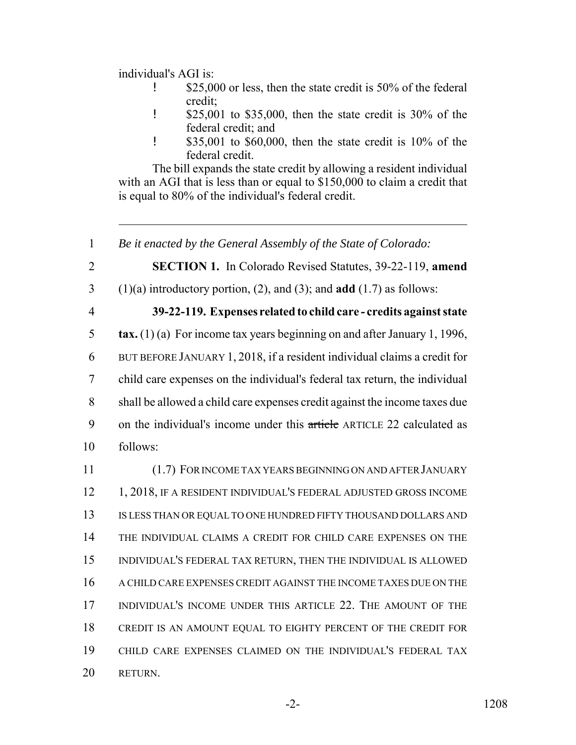individual's AGI is:

- **1** \$25,000 or less, then the state credit is 50% of the federal credit;
- ! \$25,001 to \$35,000, then the state credit is 30% of the federal credit; and
- ! \$35,001 to \$60,000, then the state credit is 10% of the federal credit.

The bill expands the state credit by allowing a resident individual with an AGI that is less than or equal to \$150,000 to claim a credit that is equal to 80% of the individual's federal credit.

1 *Be it enacted by the General Assembly of the State of Colorado:*

2 **SECTION 1.** In Colorado Revised Statutes, 39-22-119, **amend**

- 3 (1)(a) introductory portion, (2), and (3); and **add** (1.7) as follows:
- 

### 4 **39-22-119. Expenses related to child care - credits against state**

 **tax.** (1) (a) For income tax years beginning on and after January 1, 1996, BUT BEFORE JANUARY 1, 2018, if a resident individual claims a credit for child care expenses on the individual's federal tax return, the individual shall be allowed a child care expenses credit against the income taxes due 9 on the individual's income under this article ARTICLE 22 calculated as 10 follows:

 (1.7) FOR INCOME TAX YEARS BEGINNING ON AND AFTER JANUARY 12 1, 2018, IF A RESIDENT INDIVIDUAL'S FEDERAL ADJUSTED GROSS INCOME IS LESS THAN OR EQUAL TO ONE HUNDRED FIFTY THOUSAND DOLLARS AND THE INDIVIDUAL CLAIMS A CREDIT FOR CHILD CARE EXPENSES ON THE INDIVIDUAL'S FEDERAL TAX RETURN, THEN THE INDIVIDUAL IS ALLOWED A CHILD CARE EXPENSES CREDIT AGAINST THE INCOME TAXES DUE ON THE INDIVIDUAL'S INCOME UNDER THIS ARTICLE 22. THE AMOUNT OF THE CREDIT IS AN AMOUNT EQUAL TO EIGHTY PERCENT OF THE CREDIT FOR CHILD CARE EXPENSES CLAIMED ON THE INDIVIDUAL'S FEDERAL TAX 20 RETURN.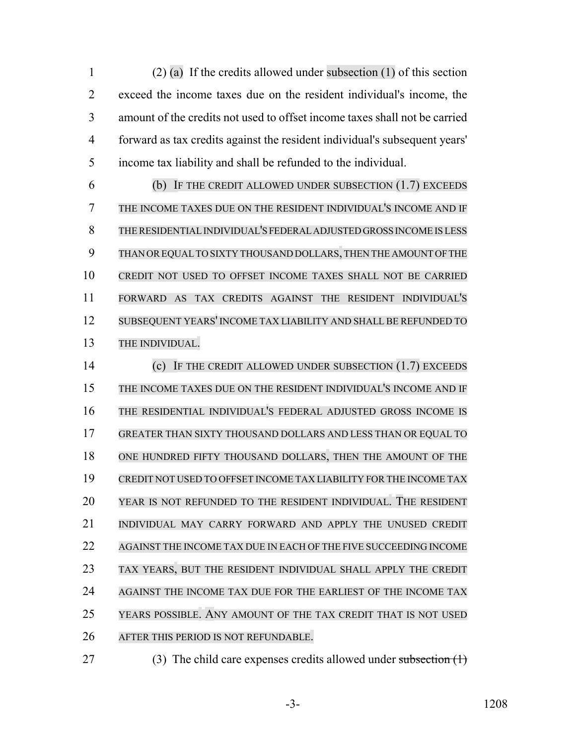(2) (a) If the credits allowed under subsection (1) of this section exceed the income taxes due on the resident individual's income, the amount of the credits not used to offset income taxes shall not be carried forward as tax credits against the resident individual's subsequent years' income tax liability and shall be refunded to the individual.

 (b) IF THE CREDIT ALLOWED UNDER SUBSECTION (1.7) EXCEEDS THE INCOME TAXES DUE ON THE RESIDENT INDIVIDUAL'S INCOME AND IF THERESIDENTIALINDIVIDUAL'S FEDERAL ADJUSTED GROSS INCOME IS LESS THAN OR EQUAL TO SIXTY THOUSAND DOLLARS,THEN THE AMOUNT OF THE CREDIT NOT USED TO OFFSET INCOME TAXES SHALL NOT BE CARRIED FORWARD AS TAX CREDITS AGAINST THE RESIDENT INDIVIDUAL'S SUBSEQUENT YEARS' INCOME TAX LIABILITY AND SHALL BE REFUNDED TO THE INDIVIDUAL.

 (c) IF THE CREDIT ALLOWED UNDER SUBSECTION (1.7) EXCEEDS THE INCOME TAXES DUE ON THE RESIDENT INDIVIDUAL'S INCOME AND IF THE RESIDENTIAL INDIVIDUAL'S FEDERAL ADJUSTED GROSS INCOME IS GREATER THAN SIXTY THOUSAND DOLLARS AND LESS THAN OR EQUAL TO ONE HUNDRED FIFTY THOUSAND DOLLARS, THEN THE AMOUNT OF THE CREDIT NOT USED TO OFFSET INCOME TAX LIABILITY FOR THE INCOME TAX YEAR IS NOT REFUNDED TO THE RESIDENT INDIVIDUAL. THE RESIDENT INDIVIDUAL MAY CARRY FORWARD AND APPLY THE UNUSED CREDIT AGAINST THE INCOME TAX DUE IN EACH OF THE FIVE SUCCEEDING INCOME TAX YEARS, BUT THE RESIDENT INDIVIDUAL SHALL APPLY THE CREDIT AGAINST THE INCOME TAX DUE FOR THE EARLIEST OF THE INCOME TAX YEARS POSSIBLE. ANY AMOUNT OF THE TAX CREDIT THAT IS NOT USED AFTER THIS PERIOD IS NOT REFUNDABLE.

- 
- 27 (3) The child care expenses credits allowed under subsection (1)